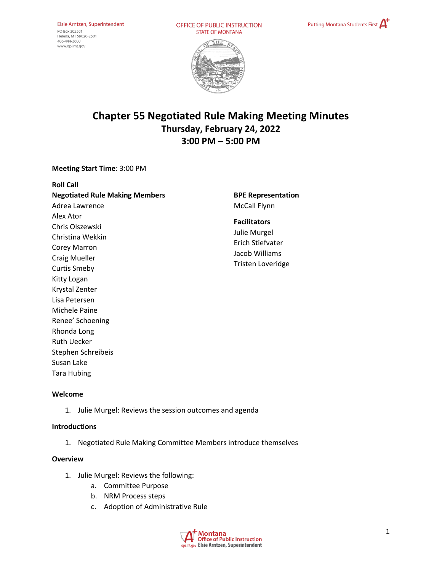OFFICE OF PUBLIC INSTRUCTION **STATE OF MONTANA** 





# **Chapter 55 Negotiated Rule Making Meeting Minutes Thursday, February 24, 2022 3:00 PM – 5:00 PM**

## **Meeting Start Time**: 3:00 PM

| <b>Roll Call</b>                      |
|---------------------------------------|
| <b>Negotiated Rule Making Members</b> |
| Adrea Lawrence                        |
| Alex Ator                             |
| Chris Olszewski                       |
| Christina Wekkin                      |
| <b>Corey Marron</b>                   |
| Craig Mueller                         |
| Curtis Smeby                          |
| Kitty Logan                           |
| Krystal Zenter                        |
| Lisa Petersen                         |
| Michele Paine                         |
| Renee' Schoening                      |
| Rhonda Long                           |
| Ruth Uecker                           |
| Stephen Schreibeis                    |
| Susan Lake                            |
| <b>Tara Hubing</b>                    |

**BPE Representation**  McCall Flynn

## **Facilitators**  Julie Murgel

Erich Stiefvater Jacob Williams Tristen Loveridge

### **Welcome**

1. Julie Murgel: Reviews the session outcomes and agenda

### **Introductions**

1. Negotiated Rule Making Committee Members introduce themselves

## **Overview**

- 1. Julie Murgel: Reviews the following:
	- a. Committee Purpose
	- b. NRM Process steps
	- c. Adoption of Administrative Rule

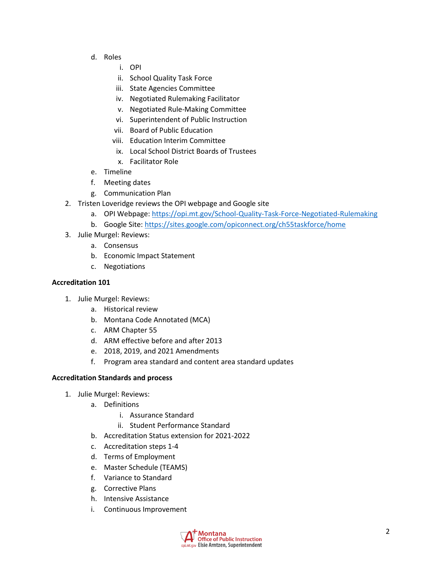- d. Roles
	- i. OPI
	- ii. School Quality Task Force
	- iii. State Agencies Committee
	- iv. Negotiated Rulemaking Facilitator
	- v. Negotiated Rule-Making Committee
	- vi. Superintendent of Public Instruction
	- vii. Board of Public Education
	- viii. Education Interim Committee
	- ix. Local School District Boards of Trustees
	- x. Facilitator Role
- e. Timeline
- f. Meeting dates
- g. Communication Plan
- 2. Tristen Loveridge reviews the OPI webpage and Google site
	- a. OPI Webpage[: https://opi.mt.gov/School-Quality-Task-Force-Negotiated-Rulemaking](https://opi.mt.gov/School-Quality-Task-Force-Negotiated-Rulemaking)
	- b. Google Site:<https://sites.google.com/opiconnect.org/ch55taskforce/home>
- 3. Julie Murgel: Reviews:
	- a. Consensus
	- b. Economic Impact Statement
	- c. Negotiations

### **Accreditation 101**

- 1. Julie Murgel: Reviews:
	- a. Historical review
	- b. Montana Code Annotated (MCA)
	- c. ARM Chapter 55
	- d. ARM effective before and after 2013
	- e. 2018, 2019, and 2021 Amendments
	- f. Program area standard and content area standard updates

### **Accreditation Standards and process**

- 1. Julie Murgel: Reviews:
	- a. Definitions
		- i. Assurance Standard
		- ii. Student Performance Standard
	- b. Accreditation Status extension for 2021-2022
	- c. Accreditation steps 1-4
	- d. Terms of Employment
	- e. Master Schedule (TEAMS)
	- f. Variance to Standard
	- g. Corrective Plans
	- h. Intensive Assistance
	- i. Continuous Improvement